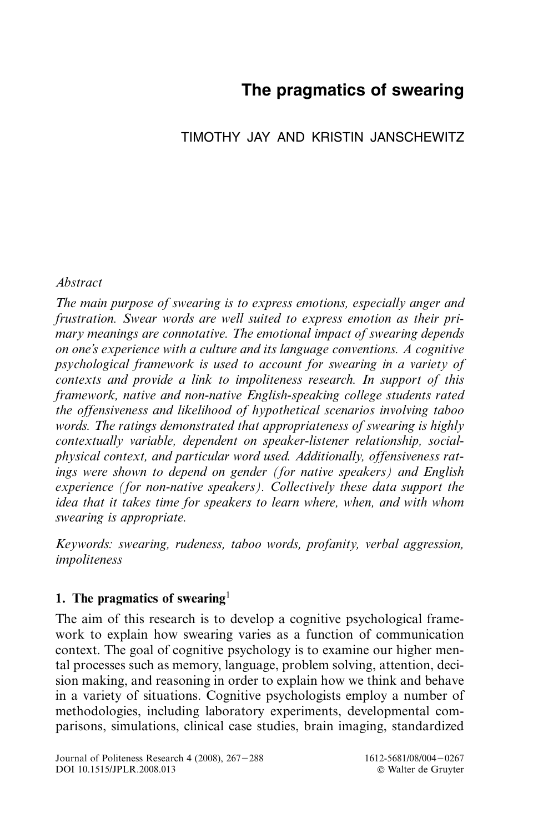# **The pragmatics of swearing**

# TIMOTHY JAY AND KRISTIN JANSCHEWITZ

# *Abstract*

*The main purpose of swearing is to express emotions, especially anger and frustration. Swear words are well suited to express emotion as their primary meanings are connotative. The emotional impact of swearing depends on one's experience with a culture and its language conventions. A cognitive psychological framework is used to account for swearing in a variety of contexts and provide a link to impoliteness research. In support of this framework, native and non-native English-speaking college students rated the offensiveness and likelihood of hypothetical scenarios involving taboo words. The ratings demonstrated that appropriateness of swearing is highly contextually variable, dependent on speaker-listener relationship, socialphysical context, and particular word used. Additionally, offensiveness ratings were shown to depend on gender (for native speakers) and English experience (for non-native speakers). Collectively these data support the idea that it takes time for speakers to learn where, when, and with whom swearing is appropriate.*

*Keywords: swearing, rudeness, taboo words, profanity, verbal aggression, impoliteness*

# **1. The pragmatics of swearing**<sup>1</sup>

The aim of this research is to develop a cognitive psychological framework to explain how swearing varies as a function of communication context. The goal of cognitive psychology is to examine our higher mental processes such as memory, language, problem solving, attention, decision making, and reasoning in order to explain how we think and behave in a variety of situations. Cognitive psychologists employ a number of methodologies, including laboratory experiments, developmental comparisons, simulations, clinical case studies, brain imaging, standardized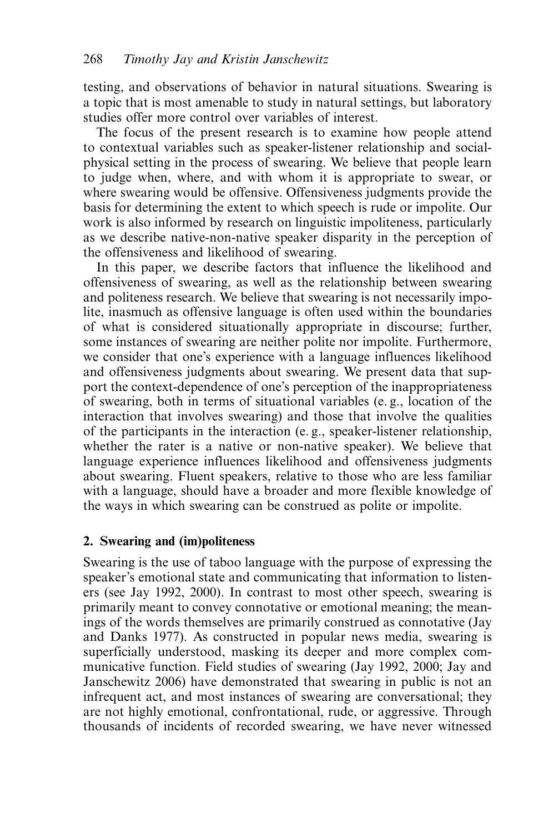testing, and observations of behavior in natural situations. Swearing is a topic that is most amenable to study in natural settings, but laboratory studies offer more control over variables of interest.

The focus of the present research is to examine how people attend to contextual variables such as speaker-listener relationship and socialphysical setting in the process of swearing. We believe that people learn to judge when, where, and with whom it is appropriate to swear, or where swearing would be offensive. Offensiveness judgments provide the basis for determining the extent to which speech is rude or impolite. Our work is also informed by research on linguistic impoliteness, particularly as we describe native-non-native speaker disparity in the perception of the offensiveness and likelihood of swearing.

In this paper, we describe factors that influence the likelihood and offensiveness of swearing, as well as the relationship between swearing and politeness research. We believe that swearing is not necessarily impolite, inasmuch as offensive language is often used within the boundaries of what is considered situationally appropriate in discourse; further, some instances of swearing are neither polite nor impolite. Furthermore, we consider that one's experience with a language influences likelihood and offensiveness judgments about swearing. We present data that support the context-dependence of one's perception of the inappropriateness of swearing, both in terms of situational variables (e. g., location of the interaction that involves swearing) and those that involve the qualities of the participants in the interaction (e. g., speaker-listener relationship, whether the rater is a native or non-native speaker). We believe that language experience influences likelihood and offensiveness judgments about swearing. Fluent speakers, relative to those who are less familiar with a language, should have a broader and more flexible knowledge of the ways in which swearing can be construed as polite or impolite.

# **2. Swearing and (im)politeness**

Swearing is the use of taboo language with the purpose of expressing the speaker's emotional state and communicating that information to listeners (see Jay 1992, 2000). In contrast to most other speech, swearing is primarily meant to convey connotative or emotional meaning; the meanings of the words themselves are primarily construed as connotative (Jay and Danks 1977). As constructed in popular news media, swearing is superficially understood, masking its deeper and more complex communicative function. Field studies of swearing (Jay 1992, 2000; Jay and Janschewitz 2006) have demonstrated that swearing in public is not an infrequent act, and most instances of swearing are conversational; they are not highly emotional, confrontational, rude, or aggressive. Through thousands of incidents of recorded swearing, we have never witnessed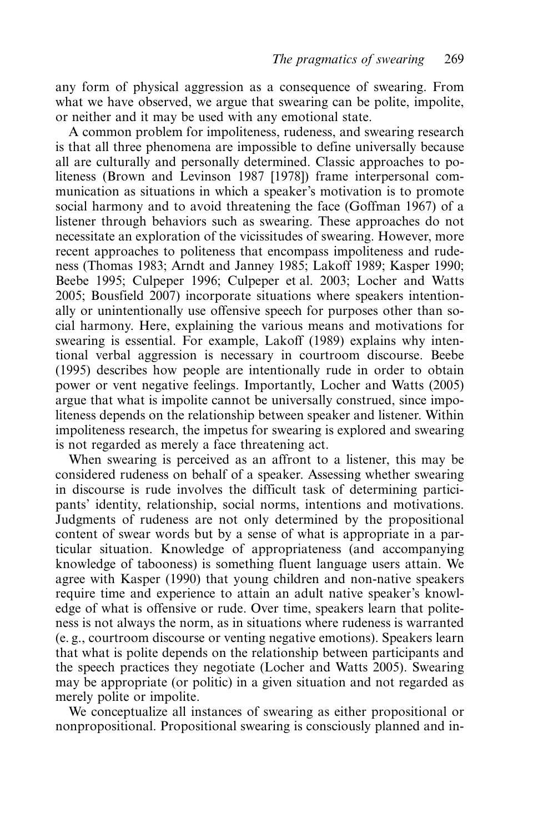any form of physical aggression as a consequence of swearing. From what we have observed, we argue that swearing can be polite, impolite, or neither and it may be used with any emotional state.

A common problem for impoliteness, rudeness, and swearing research is that all three phenomena are impossible to define universally because all are culturally and personally determined. Classic approaches to politeness (Brown and Levinson 1987 [1978]) frame interpersonal communication as situations in which a speaker's motivation is to promote social harmony and to avoid threatening the face (Goffman 1967) of a listener through behaviors such as swearing. These approaches do not necessitate an exploration of the vicissitudes of swearing. However, more recent approaches to politeness that encompass impoliteness and rudeness (Thomas 1983; Arndt and Janney 1985; Lakoff 1989; Kasper 1990; Beebe 1995; Culpeper 1996; Culpeper et al. 2003; Locher and Watts 2005; Bousfield 2007) incorporate situations where speakers intentionally or unintentionally use offensive speech for purposes other than social harmony. Here, explaining the various means and motivations for swearing is essential. For example, Lakoff (1989) explains why intentional verbal aggression is necessary in courtroom discourse. Beebe (1995) describes how people are intentionally rude in order to obtain power or vent negative feelings. Importantly, Locher and Watts (2005) argue that what is impolite cannot be universally construed, since impoliteness depends on the relationship between speaker and listener. Within impoliteness research, the impetus for swearing is explored and swearing is not regarded as merely a face threatening act.

When swearing is perceived as an affront to a listener, this may be considered rudeness on behalf of a speaker. Assessing whether swearing in discourse is rude involves the difficult task of determining participants' identity, relationship, social norms, intentions and motivations. Judgments of rudeness are not only determined by the propositional content of swear words but by a sense of what is appropriate in a particular situation. Knowledge of appropriateness (and accompanying knowledge of tabooness) is something fluent language users attain. We agree with Kasper (1990) that young children and non-native speakers require time and experience to attain an adult native speaker's knowledge of what is offensive or rude. Over time, speakers learn that politeness is not always the norm, as in situations where rudeness is warranted (e. g., courtroom discourse or venting negative emotions). Speakers learn that what is polite depends on the relationship between participants and the speech practices they negotiate (Locher and Watts 2005). Swearing may be appropriate (or politic) in a given situation and not regarded as merely polite or impolite.

We conceptualize all instances of swearing as either propositional or nonpropositional. Propositional swearing is consciously planned and in-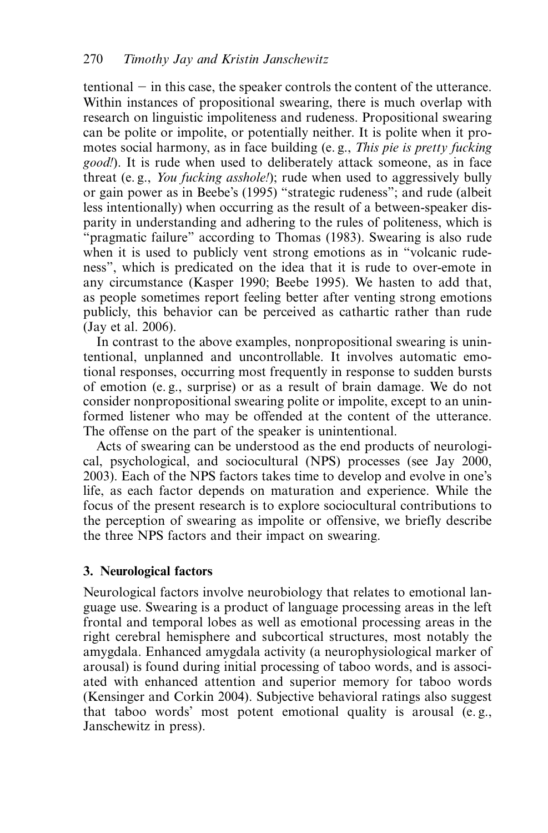$t$ entional  $-$  in this case, the speaker controls the content of the utterance. Within instances of propositional swearing, there is much overlap with research on linguistic impoliteness and rudeness. Propositional swearing can be polite or impolite, or potentially neither. It is polite when it promotes social harmony, as in face building (e. g., *This pie is pretty fucking good!*). It is rude when used to deliberately attack someone, as in face threat (e. g., *You fucking asshole!*); rude when used to aggressively bully or gain power as in Beebe's (1995) "strategic rudeness"; and rude (albeit less intentionally) when occurring as the result of a between-speaker disparity in understanding and adhering to the rules of politeness, which is "pragmatic failure" according to Thomas (1983). Swearing is also rude when it is used to publicly vent strong emotions as in "volcanic rudeness", which is predicated on the idea that it is rude to over-emote in any circumstance (Kasper 1990; Beebe 1995). We hasten to add that, as people sometimes report feeling better after venting strong emotions publicly, this behavior can be perceived as cathartic rather than rude (Jay et al. 2006).

In contrast to the above examples, nonpropositional swearing is unintentional, unplanned and uncontrollable. It involves automatic emotional responses, occurring most frequently in response to sudden bursts of emotion (e. g., surprise) or as a result of brain damage. We do not consider nonpropositional swearing polite or impolite, except to an uninformed listener who may be offended at the content of the utterance. The offense on the part of the speaker is unintentional.

Acts of swearing can be understood as the end products of neurological, psychological, and sociocultural (NPS) processes (see Jay 2000, 2003). Each of the NPS factors takes time to develop and evolve in one's life, as each factor depends on maturation and experience. While the focus of the present research is to explore sociocultural contributions to the perception of swearing as impolite or offensive, we briefly describe the three NPS factors and their impact on swearing.

# **3. Neurological factors**

Neurological factors involve neurobiology that relates to emotional language use. Swearing is a product of language processing areas in the left frontal and temporal lobes as well as emotional processing areas in the right cerebral hemisphere and subcortical structures, most notably the amygdala. Enhanced amygdala activity (a neurophysiological marker of arousal) is found during initial processing of taboo words, and is associated with enhanced attention and superior memory for taboo words (Kensinger and Corkin 2004). Subjective behavioral ratings also suggest that taboo words' most potent emotional quality is arousal (e. g., Janschewitz in press).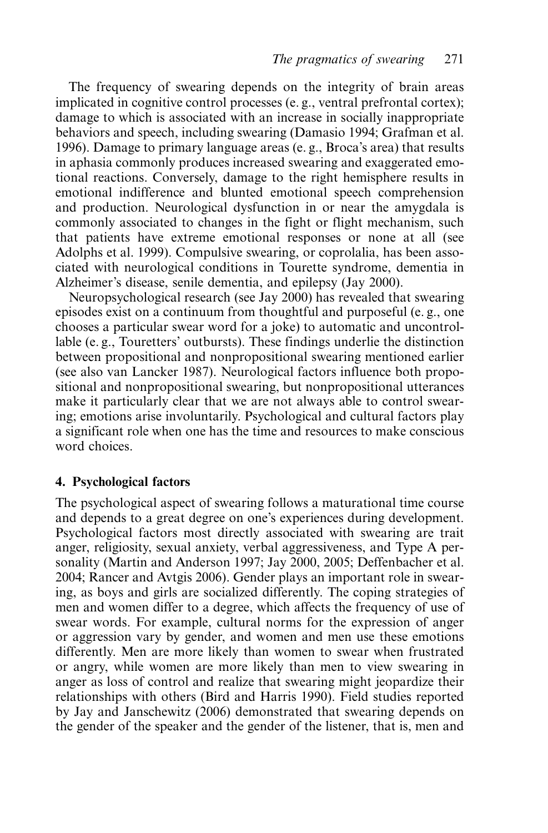The frequency of swearing depends on the integrity of brain areas implicated in cognitive control processes (e. g., ventral prefrontal cortex); damage to which is associated with an increase in socially inappropriate behaviors and speech, including swearing (Damasio 1994; Grafman et al. 1996). Damage to primary language areas (e. g., Broca's area) that results in aphasia commonly produces increased swearing and exaggerated emotional reactions. Conversely, damage to the right hemisphere results in emotional indifference and blunted emotional speech comprehension and production. Neurological dysfunction in or near the amygdala is commonly associated to changes in the fight or flight mechanism, such that patients have extreme emotional responses or none at all (see Adolphs et al. 1999). Compulsive swearing, or coprolalia, has been associated with neurological conditions in Tourette syndrome, dementia in Alzheimer's disease, senile dementia, and epilepsy (Jay 2000).

Neuropsychological research (see Jay 2000) has revealed that swearing episodes exist on a continuum from thoughtful and purposeful (e. g., one chooses a particular swear word for a joke) to automatic and uncontrollable (e. g., Touretters' outbursts). These findings underlie the distinction between propositional and nonpropositional swearing mentioned earlier (see also van Lancker 1987). Neurological factors influence both propositional and nonpropositional swearing, but nonpropositional utterances make it particularly clear that we are not always able to control swearing; emotions arise involuntarily. Psychological and cultural factors play a significant role when one has the time and resources to make conscious word choices.

# **4. Psychological factors**

The psychological aspect of swearing follows a maturational time course and depends to a great degree on one's experiences during development. Psychological factors most directly associated with swearing are trait anger, religiosity, sexual anxiety, verbal aggressiveness, and Type A personality (Martin and Anderson 1997; Jay 2000, 2005; Deffenbacher et al. 2004; Rancer and Avtgis 2006). Gender plays an important role in swearing, as boys and girls are socialized differently. The coping strategies of men and women differ to a degree, which affects the frequency of use of swear words. For example, cultural norms for the expression of anger or aggression vary by gender, and women and men use these emotions differently. Men are more likely than women to swear when frustrated or angry, while women are more likely than men to view swearing in anger as loss of control and realize that swearing might jeopardize their relationships with others (Bird and Harris 1990). Field studies reported by Jay and Janschewitz (2006) demonstrated that swearing depends on the gender of the speaker and the gender of the listener, that is, men and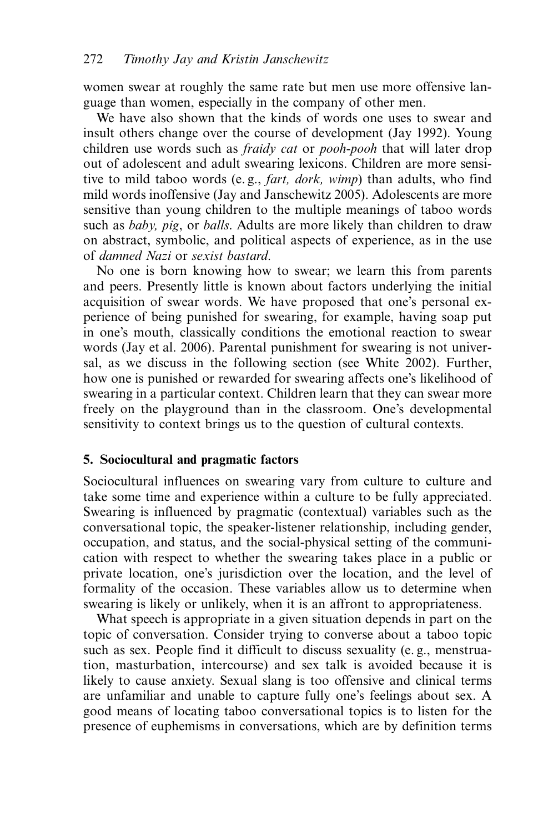women swear at roughly the same rate but men use more offensive language than women, especially in the company of other men.

We have also shown that the kinds of words one uses to swear and insult others change over the course of development (Jay 1992). Young children use words such as *fraidy cat* or *pooh-pooh* that will later drop out of adolescent and adult swearing lexicons. Children are more sensitive to mild taboo words (e. g., *fart, dork, wimp*) than adults, who find mild words inoffensive (Jay and Janschewitz 2005). Adolescents are more sensitive than young children to the multiple meanings of taboo words such as *baby, pig*, or *balls*. Adults are more likely than children to draw on abstract, symbolic, and political aspects of experience, as in the use of *damned Nazi* or *sexist bastard*.

No one is born knowing how to swear; we learn this from parents and peers. Presently little is known about factors underlying the initial acquisition of swear words. We have proposed that one's personal experience of being punished for swearing, for example, having soap put in one's mouth, classically conditions the emotional reaction to swear words (Jay et al. 2006). Parental punishment for swearing is not universal, as we discuss in the following section (see White 2002). Further, how one is punished or rewarded for swearing affects one's likelihood of swearing in a particular context. Children learn that they can swear more freely on the playground than in the classroom. One's developmental sensitivity to context brings us to the question of cultural contexts.

#### **5. Sociocultural and pragmatic factors**

Sociocultural influences on swearing vary from culture to culture and take some time and experience within a culture to be fully appreciated. Swearing is influenced by pragmatic (contextual) variables such as the conversational topic, the speaker-listener relationship, including gender, occupation, and status, and the social-physical setting of the communication with respect to whether the swearing takes place in a public or private location, one's jurisdiction over the location, and the level of formality of the occasion. These variables allow us to determine when swearing is likely or unlikely, when it is an affront to appropriateness.

What speech is appropriate in a given situation depends in part on the topic of conversation. Consider trying to converse about a taboo topic such as sex. People find it difficult to discuss sexuality (e. g., menstruation, masturbation, intercourse) and sex talk is avoided because it is likely to cause anxiety. Sexual slang is too offensive and clinical terms are unfamiliar and unable to capture fully one's feelings about sex. A good means of locating taboo conversational topics is to listen for the presence of euphemisms in conversations, which are by definition terms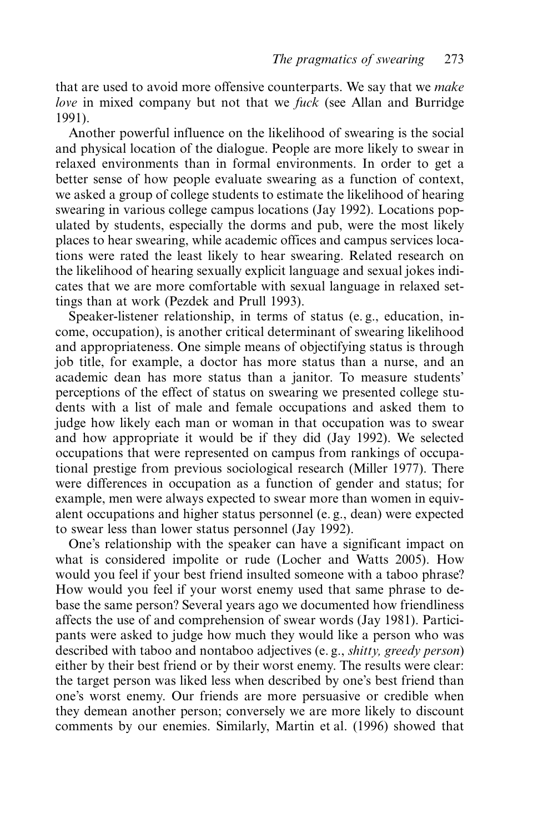that are used to avoid more offensive counterparts. We say that we *make love* in mixed company but not that we *fuck* (see Allan and Burridge 1991).

Another powerful influence on the likelihood of swearing is the social and physical location of the dialogue. People are more likely to swear in relaxed environments than in formal environments. In order to get a better sense of how people evaluate swearing as a function of context, we asked a group of college students to estimate the likelihood of hearing swearing in various college campus locations (Jay 1992). Locations populated by students, especially the dorms and pub, were the most likely places to hear swearing, while academic offices and campus services locations were rated the least likely to hear swearing. Related research on the likelihood of hearing sexually explicit language and sexual jokes indicates that we are more comfortable with sexual language in relaxed settings than at work (Pezdek and Prull 1993).

Speaker-listener relationship, in terms of status (e. g., education, income, occupation), is another critical determinant of swearing likelihood and appropriateness. One simple means of objectifying status is through job title, for example, a doctor has more status than a nurse, and an academic dean has more status than a janitor. To measure students' perceptions of the effect of status on swearing we presented college students with a list of male and female occupations and asked them to judge how likely each man or woman in that occupation was to swear and how appropriate it would be if they did (Jay 1992). We selected occupations that were represented on campus from rankings of occupational prestige from previous sociological research (Miller 1977). There were differences in occupation as a function of gender and status; for example, men were always expected to swear more than women in equivalent occupations and higher status personnel (e. g., dean) were expected to swear less than lower status personnel (Jay 1992).

One's relationship with the speaker can have a significant impact on what is considered impolite or rude (Locher and Watts 2005). How would you feel if your best friend insulted someone with a taboo phrase? How would you feel if your worst enemy used that same phrase to debase the same person? Several years ago we documented how friendliness affects the use of and comprehension of swear words (Jay 1981). Participants were asked to judge how much they would like a person who was described with taboo and nontaboo adjectives (e. g., *shitty, greedy person*) either by their best friend or by their worst enemy. The results were clear: the target person was liked less when described by one's best friend than one's worst enemy. Our friends are more persuasive or credible when they demean another person; conversely we are more likely to discount comments by our enemies. Similarly, Martin et al. (1996) showed that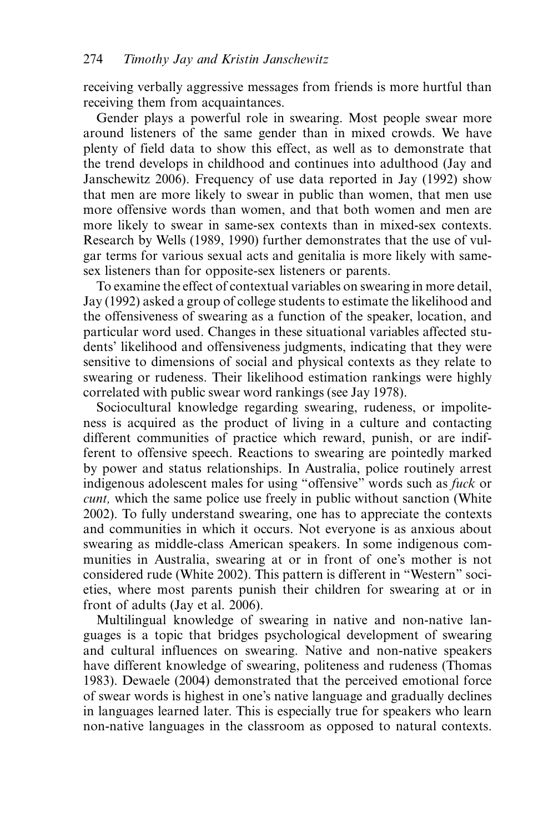receiving verbally aggressive messages from friends is more hurtful than receiving them from acquaintances.

Gender plays a powerful role in swearing. Most people swear more around listeners of the same gender than in mixed crowds. We have plenty of field data to show this effect, as well as to demonstrate that the trend develops in childhood and continues into adulthood (Jay and Janschewitz 2006). Frequency of use data reported in Jay (1992) show that men are more likely to swear in public than women, that men use more offensive words than women, and that both women and men are more likely to swear in same-sex contexts than in mixed-sex contexts. Research by Wells (1989, 1990) further demonstrates that the use of vulgar terms for various sexual acts and genitalia is more likely with samesex listeners than for opposite-sex listeners or parents.

To examine the effect of contextual variables on swearing in more detail, Jay (1992) asked a group of college students to estimate the likelihood and the offensiveness of swearing as a function of the speaker, location, and particular word used. Changes in these situational variables affected students' likelihood and offensiveness judgments, indicating that they were sensitive to dimensions of social and physical contexts as they relate to swearing or rudeness. Their likelihood estimation rankings were highly correlated with public swear word rankings (see Jay 1978).

Sociocultural knowledge regarding swearing, rudeness, or impoliteness is acquired as the product of living in a culture and contacting different communities of practice which reward, punish, or are indifferent to offensive speech. Reactions to swearing are pointedly marked by power and status relationships. In Australia, police routinely arrest indigenous adolescent males for using "offensive" words such as *fuck* or *cunt,* which the same police use freely in public without sanction (White 2002). To fully understand swearing, one has to appreciate the contexts and communities in which it occurs. Not everyone is as anxious about swearing as middle-class American speakers. In some indigenous communities in Australia, swearing at or in front of one's mother is not considered rude (White 2002). This pattern is different in "Western" societies, where most parents punish their children for swearing at or in front of adults (Jay et al. 2006).

Multilingual knowledge of swearing in native and non-native languages is a topic that bridges psychological development of swearing and cultural influences on swearing. Native and non-native speakers have different knowledge of swearing, politeness and rudeness (Thomas 1983). Dewaele (2004) demonstrated that the perceived emotional force of swear words is highest in one's native language and gradually declines in languages learned later. This is especially true for speakers who learn non-native languages in the classroom as opposed to natural contexts.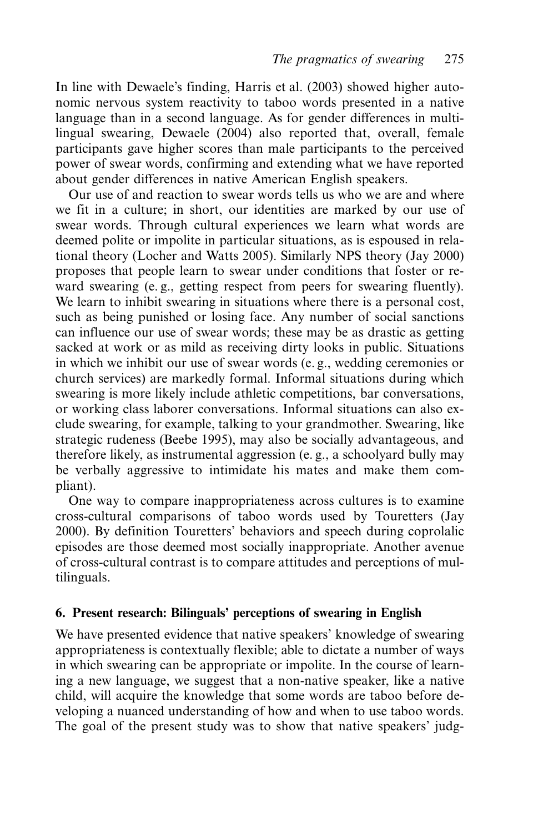In line with Dewaele's finding, Harris et al. (2003) showed higher autonomic nervous system reactivity to taboo words presented in a native language than in a second language. As for gender differences in multilingual swearing, Dewaele (2004) also reported that, overall, female participants gave higher scores than male participants to the perceived power of swear words, confirming and extending what we have reported about gender differences in native American English speakers.

Our use of and reaction to swear words tells us who we are and where we fit in a culture; in short, our identities are marked by our use of swear words. Through cultural experiences we learn what words are deemed polite or impolite in particular situations, as is espoused in relational theory (Locher and Watts 2005). Similarly NPS theory (Jay 2000) proposes that people learn to swear under conditions that foster or reward swearing (e. g., getting respect from peers for swearing fluently). We learn to inhibit swearing in situations where there is a personal cost, such as being punished or losing face. Any number of social sanctions can influence our use of swear words; these may be as drastic as getting sacked at work or as mild as receiving dirty looks in public. Situations in which we inhibit our use of swear words (e. g., wedding ceremonies or church services) are markedly formal. Informal situations during which swearing is more likely include athletic competitions, bar conversations, or working class laborer conversations. Informal situations can also exclude swearing, for example, talking to your grandmother. Swearing, like strategic rudeness (Beebe 1995), may also be socially advantageous, and therefore likely, as instrumental aggression (e. g., a schoolyard bully may be verbally aggressive to intimidate his mates and make them compliant).

One way to compare inappropriateness across cultures is to examine cross-cultural comparisons of taboo words used by Touretters (Jay 2000). By definition Touretters' behaviors and speech during coprolalic episodes are those deemed most socially inappropriate. Another avenue of cross-cultural contrast is to compare attitudes and perceptions of multilinguals.

### **6. Present research: Bilinguals' perceptions of swearing in English**

We have presented evidence that native speakers' knowledge of swearing appropriateness is contextually flexible; able to dictate a number of ways in which swearing can be appropriate or impolite. In the course of learning a new language, we suggest that a non-native speaker, like a native child, will acquire the knowledge that some words are taboo before developing a nuanced understanding of how and when to use taboo words. The goal of the present study was to show that native speakers' judg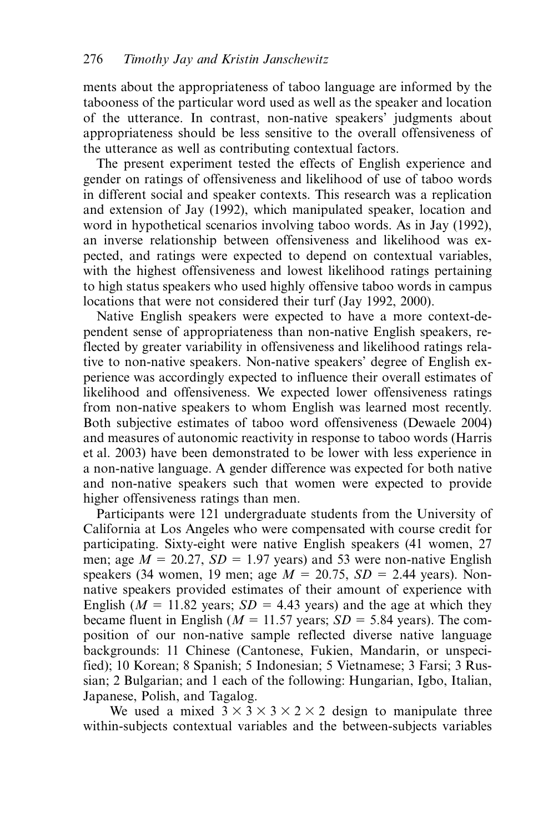ments about the appropriateness of taboo language are informed by the tabooness of the particular word used as well as the speaker and location of the utterance. In contrast, non-native speakers' judgments about appropriateness should be less sensitive to the overall offensiveness of the utterance as well as contributing contextual factors.

The present experiment tested the effects of English experience and gender on ratings of offensiveness and likelihood of use of taboo words in different social and speaker contexts. This research was a replication and extension of Jay (1992), which manipulated speaker, location and word in hypothetical scenarios involving taboo words. As in Jay (1992), an inverse relationship between offensiveness and likelihood was expected, and ratings were expected to depend on contextual variables, with the highest offensiveness and lowest likelihood ratings pertaining to high status speakers who used highly offensive taboo words in campus locations that were not considered their turf (Jay 1992, 2000).

Native English speakers were expected to have a more context-dependent sense of appropriateness than non-native English speakers, reflected by greater variability in offensiveness and likelihood ratings relative to non-native speakers. Non-native speakers' degree of English experience was accordingly expected to influence their overall estimates of likelihood and offensiveness. We expected lower offensiveness ratings from non-native speakers to whom English was learned most recently. Both subjective estimates of taboo word offensiveness (Dewaele 2004) and measures of autonomic reactivity in response to taboo words (Harris et al. 2003) have been demonstrated to be lower with less experience in a non-native language. A gender difference was expected for both native and non-native speakers such that women were expected to provide higher offensiveness ratings than men.

Participants were 121 undergraduate students from the University of California at Los Angeles who were compensated with course credit for participating. Sixty-eight were native English speakers (41 women, 27 men; age  $M = 20.27$ ,  $SD = 1.97$  years) and 53 were non-native English speakers (34 women, 19 men; age  $M = 20.75$ ,  $SD = 2.44$  years). Nonnative speakers provided estimates of their amount of experience with English ( $M = 11.82$  years;  $SD = 4.43$  years) and the age at which they became fluent in English ( $M = 11.57$  years;  $SD = 5.84$  years). The composition of our non-native sample reflected diverse native language backgrounds: 11 Chinese (Cantonese, Fukien, Mandarin, or unspecified); 10 Korean; 8 Spanish; 5 Indonesian; 5 Vietnamese; 3 Farsi; 3 Russian; 2 Bulgarian; and 1 each of the following: Hungarian, Igbo, Italian, Japanese, Polish, and Tagalog.

We used a mixed  $3 \times 3 \times 3 \times 2 \times 2$  design to manipulate three within-subjects contextual variables and the between-subjects variables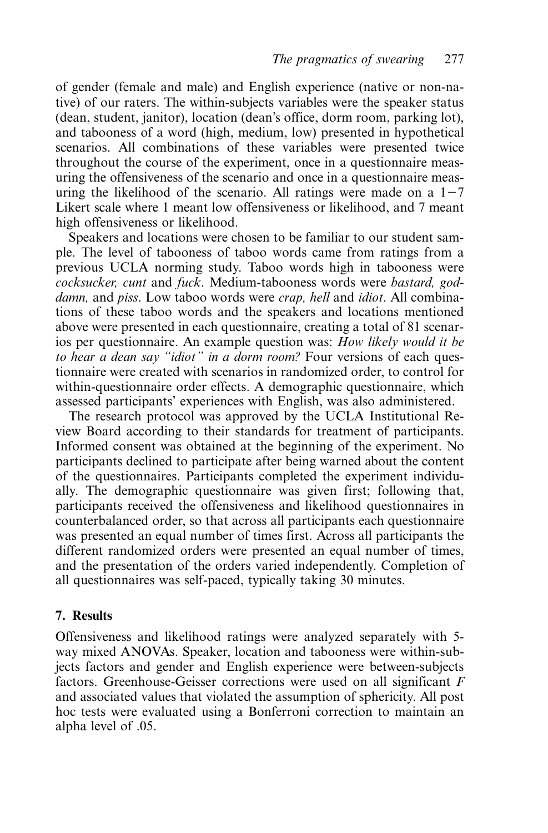of gender (female and male) and English experience (native or non-native) of our raters. The within-subjects variables were the speaker status (dean, student, janitor), location (dean's office, dorm room, parking lot), and tabooness of a word (high, medium, low) presented in hypothetical scenarios. All combinations of these variables were presented twice throughout the course of the experiment, once in a questionnaire measuring the offensiveness of the scenario and once in a questionnaire measuring the likelihood of the scenario. All ratings were made on a  $1-7$ Likert scale where 1 meant low offensiveness or likelihood, and 7 meant high offensiveness or likelihood.

Speakers and locations were chosen to be familiar to our student sample. The level of tabooness of taboo words came from ratings from a previous UCLA norming study. Taboo words high in tabooness were *cocksucker, cunt* and *fuck*. Medium-tabooness words were *bastard, goddamn,* and *piss*. Low taboo words were *crap, hell* and *idiot*. All combinations of these taboo words and the speakers and locations mentioned above were presented in each questionnaire, creating a total of 81 scenarios per questionnaire. An example question was: *How likely would it be to hear a dean say "idiot" in a dorm room?* Four versions of each questionnaire were created with scenarios in randomized order, to control for within-questionnaire order effects. A demographic questionnaire, which assessed participants' experiences with English, was also administered.

The research protocol was approved by the UCLA Institutional Review Board according to their standards for treatment of participants. Informed consent was obtained at the beginning of the experiment. No participants declined to participate after being warned about the content of the questionnaires. Participants completed the experiment individually. The demographic questionnaire was given first; following that, participants received the offensiveness and likelihood questionnaires in counterbalanced order, so that across all participants each questionnaire was presented an equal number of times first. Across all participants the different randomized orders were presented an equal number of times, and the presentation of the orders varied independently. Completion of all questionnaires was self-paced, typically taking 30 minutes.

#### **7. Results**

Offensiveness and likelihood ratings were analyzed separately with 5 way mixed ANOVAs. Speaker, location and tabooness were within-subjects factors and gender and English experience were between-subjects factors. Greenhouse-Geisser corrections were used on all significant *F* and associated values that violated the assumption of sphericity. All post hoc tests were evaluated using a Bonferroni correction to maintain an alpha level of .05.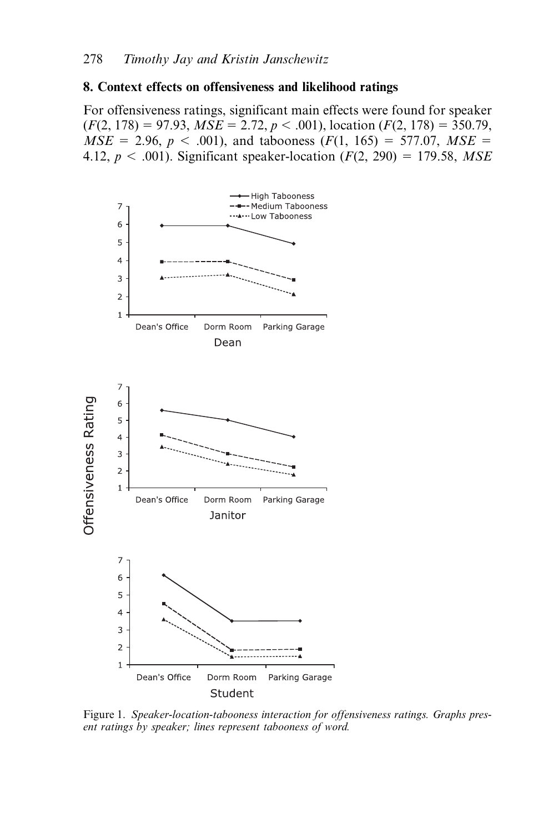# **8. Context effects on offensiveness and likelihood ratings**

For offensiveness ratings, significant main effects were found for speaker  $(F(2, 178) = 97.93, MSE = 2.72, p < .001$ , location  $(F(2, 178) = 350.79,$  $MSE = 2.96, p < .001$ , and tabooness  $(F(1, 165) = 577.07, MSE =$ 4.12, *p* < .001). Significant speaker-location (*F*(2, 290) 179.58, *MSE*



Figure 1. *Speaker-location-tabooness interaction for offensiveness ratings. Graphs present ratings by speaker; lines represent tabooness of word.*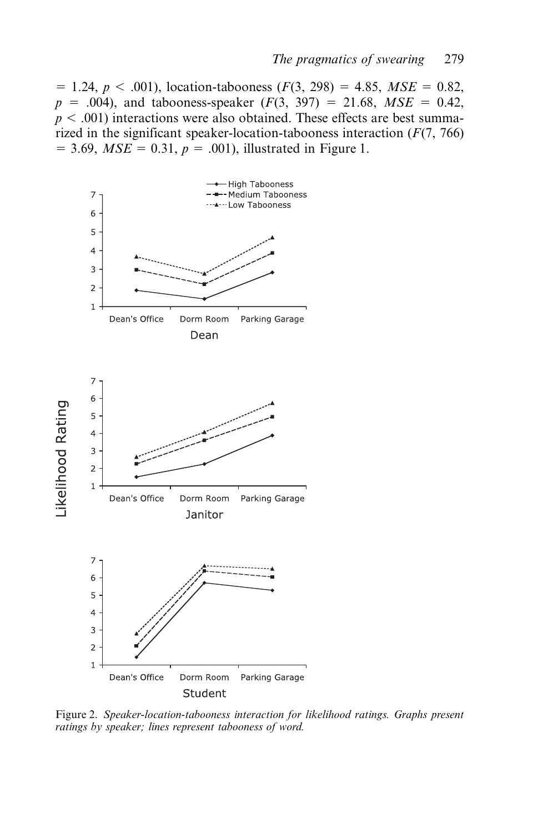$= 1.24$ ,  $p < .001$ ), location-tabooness ( $F(3, 298) = 4.85$ ,  $MSE = 0.82$ ,  $p = .004$ ), and tabooness-speaker (*F*(3, 397) = 21.68, *MSE* = 0.42,  $p < .001$ ) interactions were also obtained. These effects are best summarized in the significant speaker-location-tabooness interaction (*F*(7, 766)  $= 3.69$ , *MSE* = 0.31,  $p = .001$ ), illustrated in Figure 1.



Figure 2. *Speaker-location-tabooness interaction for likelihood ratings. Graphs present ratings by speaker; lines represent tabooness of word.*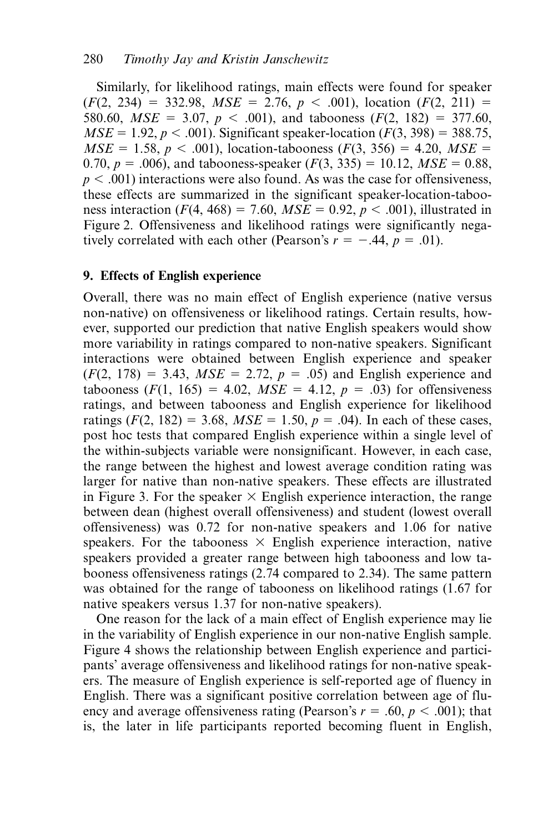Similarly, for likelihood ratings, main effects were found for speaker  $(F(2, 234) = 332.98, MSE = 2.76, p < .001$ , location  $(F(2, 211) =$ 580.60,  $MSE = 3.07$ ,  $p < .001$ ), and tabooness ( $F(2, 182) = 377.60$ , *MSE* = 1.92, *p* < .001). Significant speaker-location (*F*(3, 398) = 388.75, *MSE* = 1.58,  $p < .001$ ), location-tabooness (*F*(3, 356) = 4.20, *MSE* = 0.70,  $p = .006$ , and tabooness-speaker ( $F(3, 335) = 10.12$ ,  $MSE = 0.88$ ,  $p < .001$ ) interactions were also found. As was the case for offensiveness, these effects are summarized in the significant speaker-location-tabooness interaction  $(F(4, 468) = 7.60, MSE = 0.92, p < .001)$ , illustrated in Figure 2. Offensiveness and likelihood ratings were significantly negatively correlated with each other (Pearson's  $r = -.44$ ,  $p = .01$ ).

### **9. Effects of English experience**

Overall, there was no main effect of English experience (native versus non-native) on offensiveness or likelihood ratings. Certain results, however, supported our prediction that native English speakers would show more variability in ratings compared to non-native speakers. Significant interactions were obtained between English experience and speaker  $(F(2, 178) = 3.43, MSE = 2.72, p = .05)$  and English experience and tabooness  $(F(1, 165) = 4.02, MSE = 4.12, p = .03)$  for offensiveness ratings, and between tabooness and English experience for likelihood ratings  $(F(2, 182) = 3.68$ ,  $MSE = 1.50$ ,  $p = .04$ ). In each of these cases, post hoc tests that compared English experience within a single level of the within-subjects variable were nonsignificant. However, in each case, the range between the highest and lowest average condition rating was larger for native than non-native speakers. These effects are illustrated in Figure 3. For the speaker  $\times$  English experience interaction, the range between dean (highest overall offensiveness) and student (lowest overall offensiveness) was 0.72 for non-native speakers and 1.06 for native speakers. For the tabooness  $\times$  English experience interaction, native speakers provided a greater range between high tabooness and low tabooness offensiveness ratings (2.74 compared to 2.34). The same pattern was obtained for the range of tabooness on likelihood ratings (1.67 for native speakers versus 1.37 for non-native speakers).

One reason for the lack of a main effect of English experience may lie in the variability of English experience in our non-native English sample. Figure 4 shows the relationship between English experience and participants' average offensiveness and likelihood ratings for non-native speakers. The measure of English experience is self-reported age of fluency in English. There was a significant positive correlation between age of fluency and average offensiveness rating (Pearson's  $r = .60$ ,  $p < .001$ ); that is, the later in life participants reported becoming fluent in English,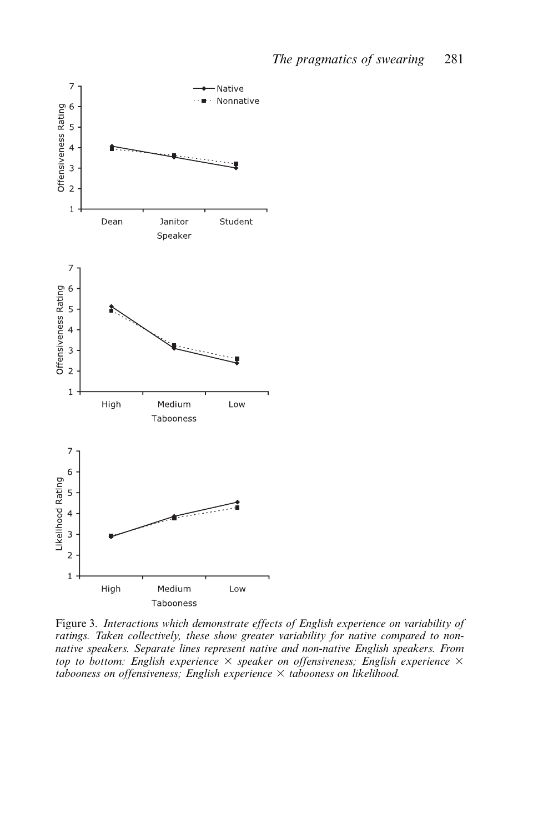

Figure 3. *Interactions which demonstrate effects of English experience on variability of ratings. Taken collectively, these show greater variability for native compared to nonnative speakers. Separate lines represent native and non-native English speakers. From top to bottom: English experience speaker on offensiveness; English experience tabooness on offensiveness; English experience tabooness on likelihood.*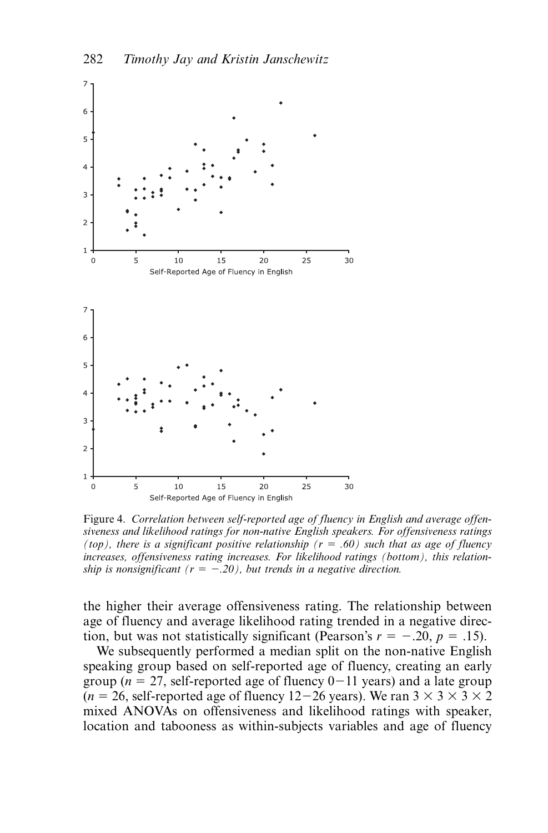

Figure 4. *Correlation between self-reported age of fluency in English and average offensiveness and likelihood ratings for non-native English speakers. For offensiveness ratings (top), there is a significant positive relationship (r .60) such that as age of fluency increases, offensiveness rating increases. For likelihood ratings (bottom), this relationship is nonsignificant* ( $r = -.20$ ), but trends in a negative direction.

the higher their average offensiveness rating. The relationship between age of fluency and average likelihood rating trended in a negative direction, but was not statistically significant (Pearson's  $r = -.20$ ,  $p = .15$ ).

We subsequently performed a median split on the non-native English speaking group based on self-reported age of fluency, creating an early group ( $n = 27$ , self-reported age of fluency  $0-11$  years) and a late group  $(n = 26, \text{ self-reported age of fluency } 12-26 \text{ years})$ . We ran  $3 \times 3 \times 3 \times 2$ mixed ANOVAs on offensiveness and likelihood ratings with speaker, location and tabooness as within-subjects variables and age of fluency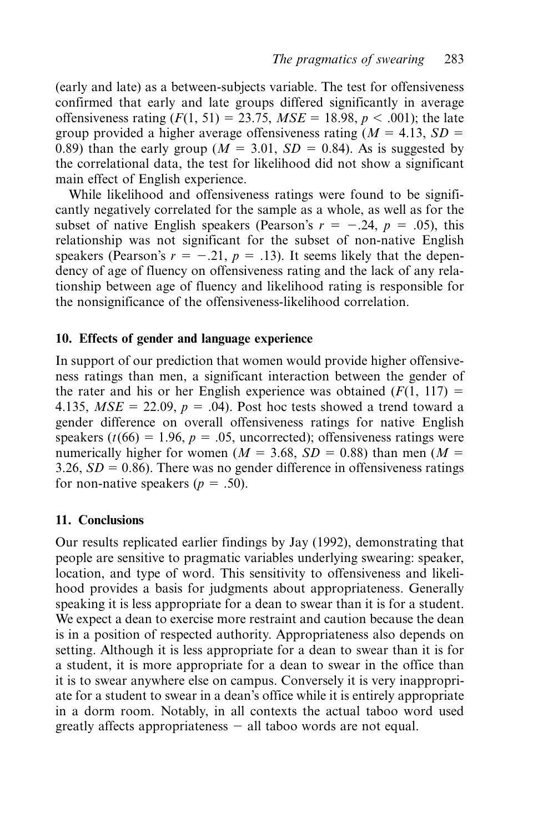(early and late) as a between-subjects variable. The test for offensiveness confirmed that early and late groups differed significantly in average offensiveness rating  $(F(1, 51) = 23.75, MSE = 18.98, p < .001)$ ; the late group provided a higher average offensiveness rating  $(M = 4.13, SD =$ 0.89) than the early group ( $M = 3.01$ ,  $SD = 0.84$ ). As is suggested by the correlational data, the test for likelihood did not show a significant main effect of English experience.

While likelihood and offensiveness ratings were found to be significantly negatively correlated for the sample as a whole, as well as for the subset of native English speakers (Pearson's  $r = -.24$ ,  $p = .05$ ), this relationship was not significant for the subset of non-native English speakers (Pearson's  $r = -.21$ ,  $p = .13$ ). It seems likely that the dependency of age of fluency on offensiveness rating and the lack of any relationship between age of fluency and likelihood rating is responsible for the nonsignificance of the offensiveness-likelihood correlation.

# **10. Effects of gender and language experience**

In support of our prediction that women would provide higher offensiveness ratings than men, a significant interaction between the gender of the rater and his or her English experience was obtained  $(F(1, 117))$  = 4.135,  $MSE = 22.09$ ,  $p = .04$ ). Post hoc tests showed a trend toward a gender difference on overall offensiveness ratings for native English speakers ( $t(66) = 1.96$ ,  $p = .05$ , uncorrected); offensiveness ratings were numerically higher for women ( $M = 3.68$ ,  $SD = 0.88$ ) than men ( $M =$ 3.26,  $SD = 0.86$ ). There was no gender difference in offensiveness ratings for non-native speakers ( $p = .50$ ).

# **11. Conclusions**

Our results replicated earlier findings by Jay (1992), demonstrating that people are sensitive to pragmatic variables underlying swearing: speaker, location, and type of word. This sensitivity to offensiveness and likelihood provides a basis for judgments about appropriateness. Generally speaking it is less appropriate for a dean to swear than it is for a student. We expect a dean to exercise more restraint and caution because the dean is in a position of respected authority. Appropriateness also depends on setting. Although it is less appropriate for a dean to swear than it is for a student, it is more appropriate for a dean to swear in the office than it is to swear anywhere else on campus. Conversely it is very inappropriate for a student to swear in a dean's office while it is entirely appropriate in a dorm room. Notably, in all contexts the actual taboo word used greatly affects appropriateness - all taboo words are not equal.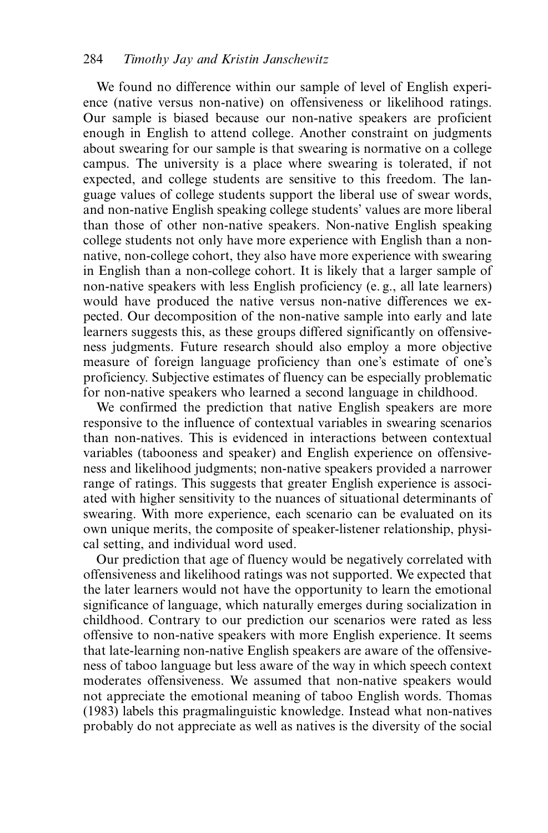We found no difference within our sample of level of English experience (native versus non-native) on offensiveness or likelihood ratings. Our sample is biased because our non-native speakers are proficient enough in English to attend college. Another constraint on judgments about swearing for our sample is that swearing is normative on a college campus. The university is a place where swearing is tolerated, if not expected, and college students are sensitive to this freedom. The language values of college students support the liberal use of swear words, and non-native English speaking college students' values are more liberal than those of other non-native speakers. Non-native English speaking college students not only have more experience with English than a nonnative, non-college cohort, they also have more experience with swearing in English than a non-college cohort. It is likely that a larger sample of non-native speakers with less English proficiency (e. g., all late learners) would have produced the native versus non-native differences we expected. Our decomposition of the non-native sample into early and late learners suggests this, as these groups differed significantly on offensiveness judgments. Future research should also employ a more objective measure of foreign language proficiency than one's estimate of one's proficiency. Subjective estimates of fluency can be especially problematic for non-native speakers who learned a second language in childhood.

We confirmed the prediction that native English speakers are more responsive to the influence of contextual variables in swearing scenarios than non-natives. This is evidenced in interactions between contextual variables (tabooness and speaker) and English experience on offensiveness and likelihood judgments; non-native speakers provided a narrower range of ratings. This suggests that greater English experience is associated with higher sensitivity to the nuances of situational determinants of swearing. With more experience, each scenario can be evaluated on its own unique merits, the composite of speaker-listener relationship, physical setting, and individual word used.

Our prediction that age of fluency would be negatively correlated with offensiveness and likelihood ratings was not supported. We expected that the later learners would not have the opportunity to learn the emotional significance of language, which naturally emerges during socialization in childhood. Contrary to our prediction our scenarios were rated as less offensive to non-native speakers with more English experience. It seems that late-learning non-native English speakers are aware of the offensiveness of taboo language but less aware of the way in which speech context moderates offensiveness. We assumed that non-native speakers would not appreciate the emotional meaning of taboo English words. Thomas (1983) labels this pragmalinguistic knowledge. Instead what non-natives probably do not appreciate as well as natives is the diversity of the social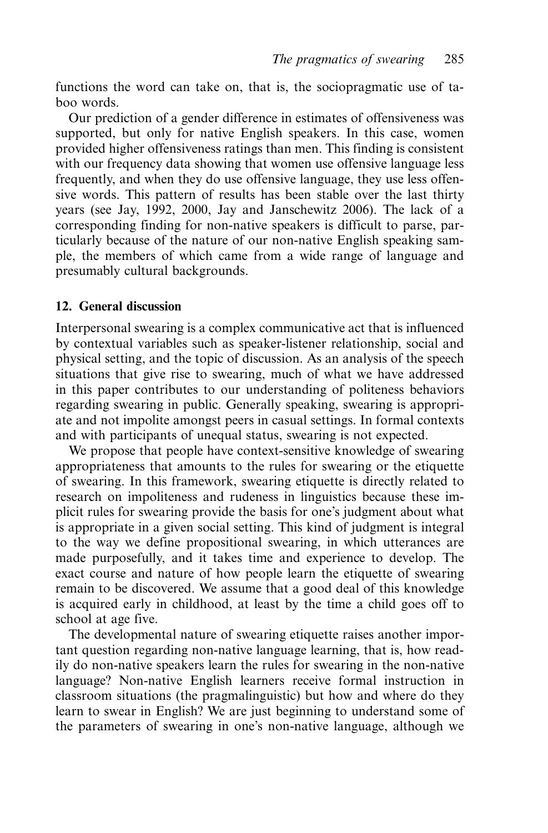functions the word can take on, that is, the sociopragmatic use of taboo words.

Our prediction of a gender difference in estimates of offensiveness was supported, but only for native English speakers. In this case, women provided higher offensiveness ratings than men. This finding is consistent with our frequency data showing that women use offensive language less frequently, and when they do use offensive language, they use less offensive words. This pattern of results has been stable over the last thirty years (see Jay, 1992, 2000, Jay and Janschewitz 2006). The lack of a corresponding finding for non-native speakers is difficult to parse, particularly because of the nature of our non-native English speaking sample, the members of which came from a wide range of language and presumably cultural backgrounds.

### **12. General discussion**

Interpersonal swearing is a complex communicative act that is influenced by contextual variables such as speaker-listener relationship, social and physical setting, and the topic of discussion. As an analysis of the speech situations that give rise to swearing, much of what we have addressed in this paper contributes to our understanding of politeness behaviors regarding swearing in public. Generally speaking, swearing is appropriate and not impolite amongst peers in casual settings. In formal contexts and with participants of unequal status, swearing is not expected.

We propose that people have context-sensitive knowledge of swearing appropriateness that amounts to the rules for swearing or the etiquette of swearing. In this framework, swearing etiquette is directly related to research on impoliteness and rudeness in linguistics because these implicit rules for swearing provide the basis for one's judgment about what is appropriate in a given social setting. This kind of judgment is integral to the way we define propositional swearing, in which utterances are made purposefully, and it takes time and experience to develop. The exact course and nature of how people learn the etiquette of swearing remain to be discovered. We assume that a good deal of this knowledge is acquired early in childhood, at least by the time a child goes off to school at age five.

The developmental nature of swearing etiquette raises another important question regarding non-native language learning, that is, how readily do non-native speakers learn the rules for swearing in the non-native language? Non-native English learners receive formal instruction in classroom situations (the pragmalinguistic) but how and where do they learn to swear in English? We are just beginning to understand some of the parameters of swearing in one's non-native language, although we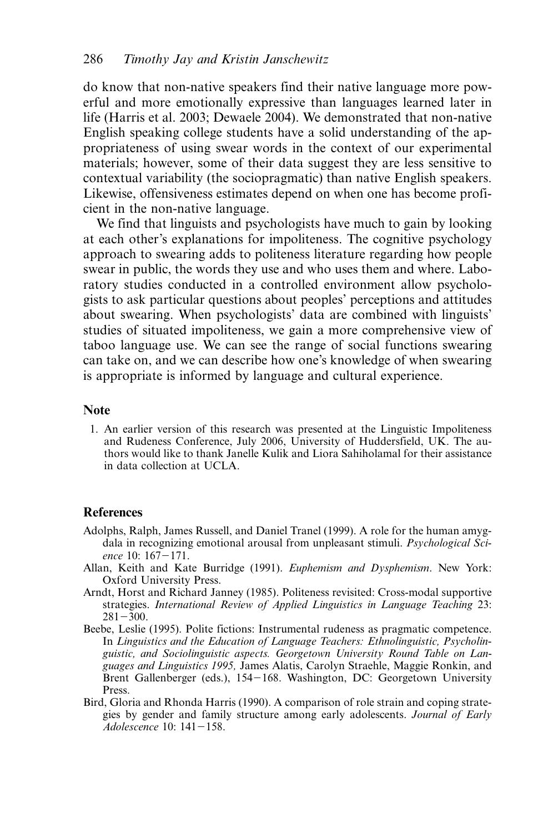do know that non-native speakers find their native language more powerful and more emotionally expressive than languages learned later in life (Harris et al. 2003; Dewaele 2004). We demonstrated that non-native English speaking college students have a solid understanding of the appropriateness of using swear words in the context of our experimental materials; however, some of their data suggest they are less sensitive to contextual variability (the sociopragmatic) than native English speakers. Likewise, offensiveness estimates depend on when one has become proficient in the non-native language.

We find that linguists and psychologists have much to gain by looking at each other's explanations for impoliteness. The cognitive psychology approach to swearing adds to politeness literature regarding how people swear in public, the words they use and who uses them and where. Laboratory studies conducted in a controlled environment allow psychologists to ask particular questions about peoples' perceptions and attitudes about swearing. When psychologists' data are combined with linguists' studies of situated impoliteness, we gain a more comprehensive view of taboo language use. We can see the range of social functions swearing can take on, and we can describe how one's knowledge of when swearing is appropriate is informed by language and cultural experience.

#### **Note**

1. An earlier version of this research was presented at the Linguistic Impoliteness and Rudeness Conference, July 2006, University of Huddersfield, UK. The authors would like to thank Janelle Kulik and Liora Sahiholamal for their assistance in data collection at UCLA.

#### **References**

- Adolphs, Ralph, James Russell, and Daniel Tranel (1999). A role for the human amygdala in recognizing emotional arousal from unpleasant stimuli. *Psychological Science* 10: 167-171.
- Allan, Keith and Kate Burridge (1991). *Euphemism and Dysphemism*. New York: Oxford University Press.
- Arndt, Horst and Richard Janney (1985). Politeness revisited: Cross-modal supportive strategies. *International Review of Applied Linguistics in Language Teaching* 23:  $281 - 300.$
- Beebe, Leslie (1995). Polite fictions: Instrumental rudeness as pragmatic competence. In *Linguistics and the Education of Language Teachers: Ethnolinguistic, Psycholinguistic, and Sociolinguistic aspects. Georgetown University Round Table on Languages and Linguistics 1995,* James Alatis, Carolyn Straehle, Maggie Ronkin, and Brent Gallenberger (eds.), 154-168. Washington, DC: Georgetown University Press.
- Bird, Gloria and Rhonda Harris (1990). A comparison of role strain and coping strategies by gender and family structure among early adolescents. *Journal of Early Adolescence* 10: 141-158.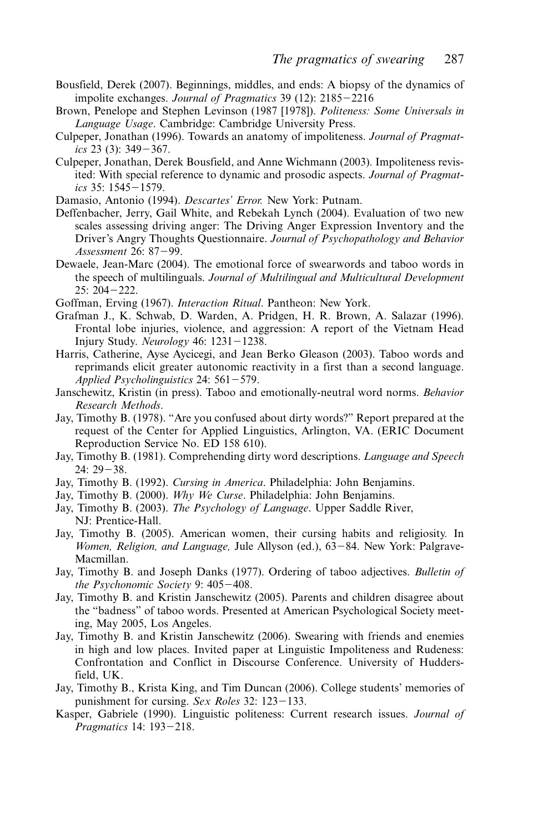- Bousfield, Derek (2007). Beginnings, middles, and ends: A biopsy of the dynamics of impolite exchanges. *Journal of Pragmatics* 39 (12): 2185-2216
- Brown, Penelope and Stephen Levinson (1987 [1978]). *Politeness: Some Universals in Language Usage*. Cambridge: Cambridge University Press.
- Culpeper, Jonathan (1996). Towards an anatomy of impoliteness. *Journal of Pragmatics* 23 (3): 349-367.
- Culpeper, Jonathan, Derek Bousfield, and Anne Wichmann (2003). Impoliteness revisited: With special reference to dynamic and prosodic aspects. *Journal of Pragmatics* 35: 1545-1579.
- Damasio, Antonio (1994). *Descartes' Error.* New York: Putnam.
- Deffenbacher, Jerry, Gail White, and Rebekah Lynch (2004). Evaluation of two new scales assessing driving anger: The Driving Anger Expression Inventory and the Driver's Angry Thoughts Questionnaire. *Journal of Psychopathology and Behavior Assessment* 26: 87-99.
- Dewaele, Jean-Marc (2004). The emotional force of swearwords and taboo words in the speech of multilinguals. *Journal of Multilingual and Multicultural Development* 25: 204-222.
- Goffman, Erving (1967). *Interaction Ritual*. Pantheon: New York.
- Grafman J., K. Schwab, D. Warden, A. Pridgen, H. R. Brown, A. Salazar (1996). Frontal lobe injuries, violence, and aggression: A report of the Vietnam Head Injury Study. *Neurology* 46: 1231-1238.
- Harris, Catherine, Ayse Aycicegi, and Jean Berko Gleason (2003). Taboo words and reprimands elicit greater autonomic reactivity in a first than a second language. *Applied Psycholinguistics* 24: 561-579.
- Janschewitz, Kristin (in press). Taboo and emotionally-neutral word norms. *Behavior Research Methods*.
- Jay, Timothy B. (1978). "Are you confused about dirty words?" Report prepared at the request of the Center for Applied Linguistics, Arlington, VA. (ERIC Document Reproduction Service No. ED 158 610).
- Jay, Timothy B. (1981). Comprehending dirty word descriptions. *Language and Speech* 24: 29-38.
- Jay, Timothy B. (1992). *Cursing in America*. Philadelphia: John Benjamins.
- Jay, Timothy B. (2000). *Why We Curse*. Philadelphia: John Benjamins.
- Jay, Timothy B. (2003). *The Psychology of Language*. Upper Saddle River, NJ: Prentice-Hall.
- Jay, Timothy B. (2005). American women, their cursing habits and religiosity*.* In Women, Religion, and Language, Jule Allyson (ed.), 63-84. New York: Palgrave-Macmillan.
- Jay, Timothy B. and Joseph Danks (1977). Ordering of taboo adjectives. *Bulletin of the Psychonomic Society* 9: 405-408.
- Jay, Timothy B. and Kristin Janschewitz (2005). Parents and children disagree about the "badness" of taboo words. Presented at American Psychological Society meeting, May 2005, Los Angeles.
- Jay, Timothy B. and Kristin Janschewitz (2006). Swearing with friends and enemies in high and low places. Invited paper at Linguistic Impoliteness and Rudeness: Confrontation and Conflict in Discourse Conference. University of Huddersfield, UK.
- Jay, Timothy B., Krista King, and Tim Duncan (2006). College students' memories of punishment for cursing. *Sex Roles* 32: 123-133.
- Kasper, Gabriele (1990). Linguistic politeness: Current research issues. *Journal of Pragmatics* 14: 193-218.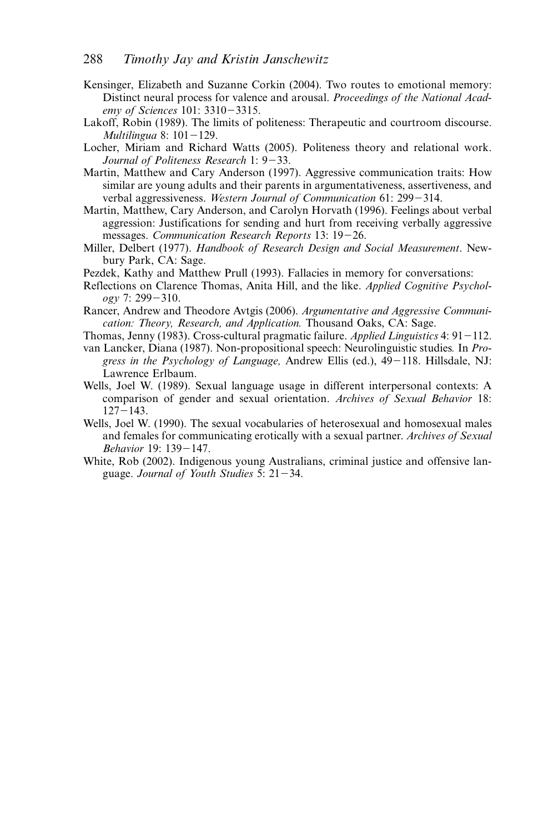- Kensinger, Elizabeth and Suzanne Corkin (2004). Two routes to emotional memory: Distinct neural process for valence and arousal. *Proceedings of the National Academy of Sciences* 101: 3310-3315.
- Lakoff, Robin (1989). The limits of politeness: Therapeutic and courtroom discourse. *Multilingua* 8: 101-129.
- Locher, Miriam and Richard Watts (2005). Politeness theory and relational work. *Journal of Politeness Research* 1: 9-33.
- Martin, Matthew and Cary Anderson (1997). Aggressive communication traits: How similar are young adults and their parents in argumentativeness, assertiveness, and verbal aggressiveness. *Western Journal of Communication* 61: 299-314.
- Martin, Matthew, Cary Anderson, and Carolyn Horvath (1996). Feelings about verbal aggression: Justifications for sending and hurt from receiving verbally aggressive messages. *Communication Research Reports* 13: 19-26.
- Miller, Delbert (1977). *Handbook of Research Design and Social Measurement*. Newbury Park, CA: Sage.
- Pezdek, Kathy and Matthew Prull (1993). Fallacies in memory for conversations:
- Reflections on Clarence Thomas, Anita Hill, and the like. *Applied Cognitive Psychology* 7: 299-310.
- Rancer, Andrew and Theodore Avtgis (2006). *Argumentative and Aggressive Communication: Theory, Research, and Application.* Thousand Oaks, CA: Sage.
- Thomas, Jenny (1983). Cross-cultural pragmatic failure. *Applied Linguistics* 4: 91-112.
- van Lancker, Diana (1987). Non-propositional speech: Neurolinguistic studies*.* In *Progress in the Psychology of Language,* Andrew Ellis (ed.), 49-118. Hillsdale, NJ: Lawrence Erlbaum.
- Wells, Joel W. (1989). Sexual language usage in different interpersonal contexts: A comparison of gender and sexual orientation. *Archives of Sexual Behavior* 18:  $127 - 143$ .
- Wells, Joel W. (1990). The sexual vocabularies of heterosexual and homosexual males and females for communicating erotically with a sexual partner. *Archives of Sexual Behavior* 19: 139-147.
- White, Rob (2002). Indigenous young Australians, criminal justice and offensive language. *Journal of Youth Studies* 5: 21-34.